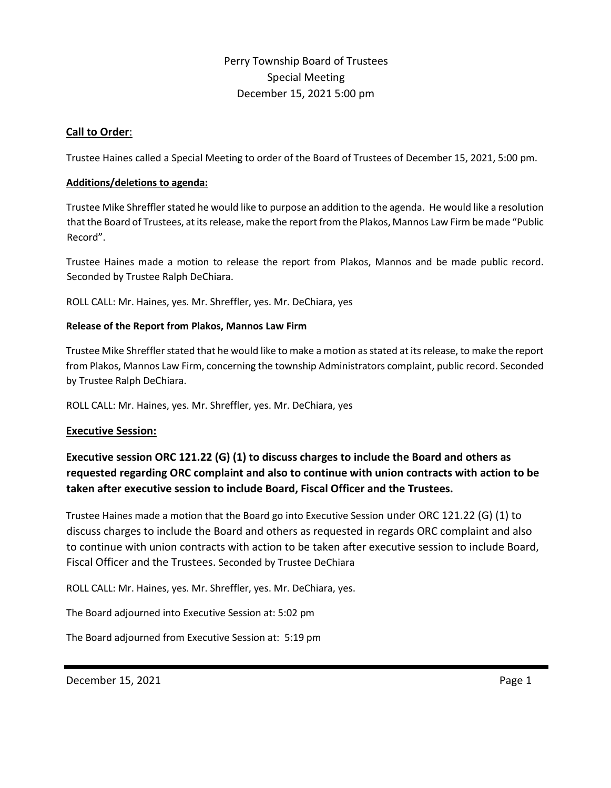# Perry Township Board of Trustees Special Meeting December 15, 2021 5:00 pm

# **Call to Order**:

Trustee Haines called a Special Meeting to order of the Board of Trustees of December 15, 2021, 5:00 pm.

## **Additions/deletions to agenda:**

Trustee Mike Shreffler stated he would like to purpose an addition to the agenda. He would like a resolution that the Board of Trustees, at its release, make the report from the Plakos, Mannos Law Firm be made "Public Record".

Trustee Haines made a motion to release the report from Plakos, Mannos and be made public record. Seconded by Trustee Ralph DeChiara.

ROLL CALL: Mr. Haines, yes. Mr. Shreffler, yes. Mr. DeChiara, yes

# **Release of the Report from Plakos, Mannos Law Firm**

Trustee Mike Shreffler stated that he would like to make a motion as stated at its release, to make the report from Plakos, Mannos Law Firm, concerning the township Administrators complaint, public record. Seconded by Trustee Ralph DeChiara.

ROLL CALL: Mr. Haines, yes. Mr. Shreffler, yes. Mr. DeChiara, yes

# **Executive Session:**

**Executive session ORC 121.22 (G) (1) to discuss charges to include the Board and others as requested regarding ORC complaint and also to continue with union contracts with action to be taken after executive session to include Board, Fiscal Officer and the Trustees.**

Trustee Haines made a motion that the Board go into Executive Session under ORC 121.22 (G) (1) to discuss charges to include the Board and others as requested in regards ORC complaint and also to continue with union contracts with action to be taken after executive session to include Board, Fiscal Officer and the Trustees. Seconded by Trustee DeChiara

ROLL CALL: Mr. Haines, yes. Mr. Shreffler, yes. Mr. DeChiara, yes.

The Board adjourned into Executive Session at: 5:02 pm

The Board adjourned from Executive Session at: 5:19 pm

December 15, 2021 **Page 1** Page 1